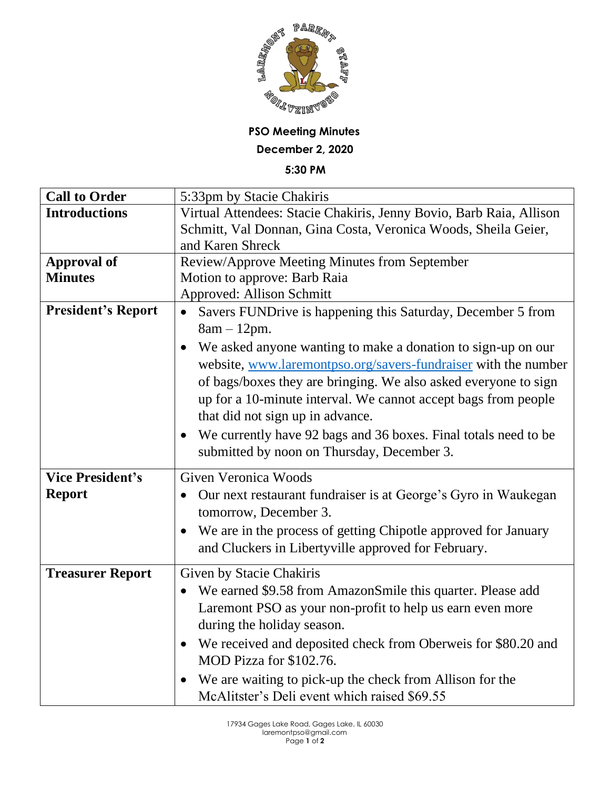

## **PSO Meeting Minutes December 2, 2020**

**5:30 PM**

| <b>Call to Order</b>      | 5:33pm by Stacie Chakiris                                                    |
|---------------------------|------------------------------------------------------------------------------|
| <b>Introductions</b>      | Virtual Attendees: Stacie Chakiris, Jenny Bovio, Barb Raia, Allison          |
|                           | Schmitt, Val Donnan, Gina Costa, Veronica Woods, Sheila Geier,               |
|                           | and Karen Shreck                                                             |
| <b>Approval of</b>        | Review/Approve Meeting Minutes from September                                |
| <b>Minutes</b>            | Motion to approve: Barb Raia                                                 |
|                           | <b>Approved: Allison Schmitt</b>                                             |
| <b>President's Report</b> | Savers FUNDrive is happening this Saturday, December 5 from<br>$\bullet$     |
|                           | $8am - 12pm.$                                                                |
|                           | We asked anyone wanting to make a donation to sign-up on our                 |
|                           | website, www.laremontpso.org/savers-fundraiser with the number               |
|                           | of bags/boxes they are bringing. We also asked everyone to sign              |
|                           | up for a 10-minute interval. We cannot accept bags from people               |
|                           | that did not sign up in advance.                                             |
|                           | We currently have 92 bags and 36 boxes. Final totals need to be<br>$\bullet$ |
|                           | submitted by noon on Thursday, December 3.                                   |
|                           |                                                                              |
| <b>Vice President's</b>   | <b>Given Veronica Woods</b>                                                  |
| <b>Report</b>             | Our next restaurant fundraiser is at George's Gyro in Waukegan               |
|                           | tomorrow, December 3.                                                        |
|                           | We are in the process of getting Chipotle approved for January<br>$\bullet$  |
|                           | and Cluckers in Libertyville approved for February.                          |
|                           |                                                                              |
| <b>Treasurer Report</b>   | Given by Stacie Chakiris                                                     |
|                           | We earned \$9.58 from AmazonSmile this quarter. Please add<br>$\bullet$      |
|                           | Laremont PSO as your non-profit to help us earn even more                    |
|                           | during the holiday season.                                                   |
|                           | We received and deposited check from Oberweis for \$80.20 and<br>$\bullet$   |
|                           | MOD Pizza for \$102.76.                                                      |
|                           | We are waiting to pick-up the check from Allison for the                     |
|                           |                                                                              |